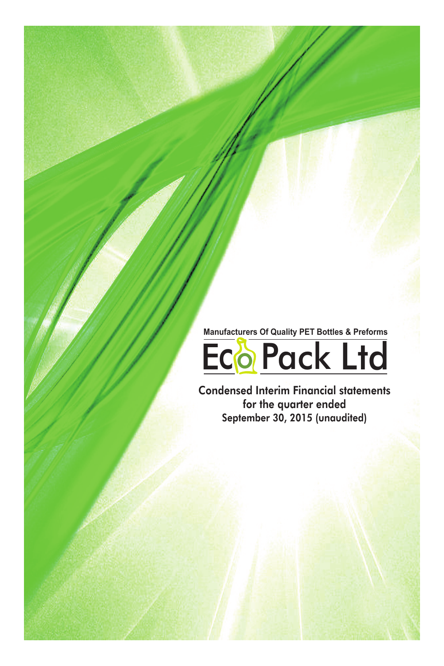**Manufacturers Of Quality PET Bottles & Preforms**



Condensed Interim Financial statements for the quarter ended September 30, 2015 (unaudited)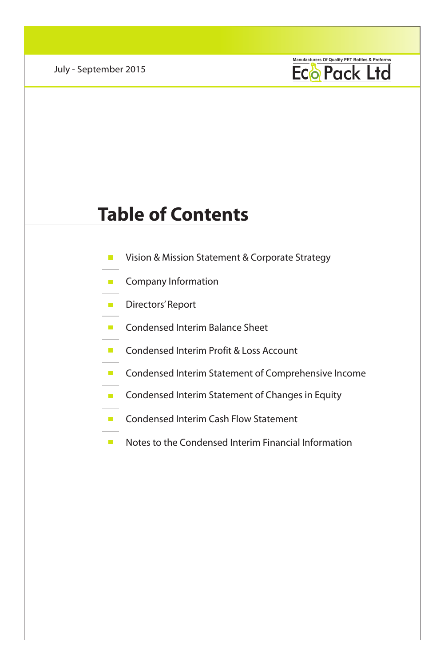

# **Table of Contents**

- Vision & Mission Statement & Corporate Strategy
- **Company Information**
- **Directors' Report**
- Condensed Interim Balance Sheet
- **Condensed Interim Profit & Loss Account**
- **E** Condensed Interim Statement of Comprehensive Income
- **Condensed Interim Statement of Changes in Equity**
- **Condensed Interim Cash Flow Statement**
- Notes to the Condensed Interim Financial Information  $\mathbb{R}^n$  .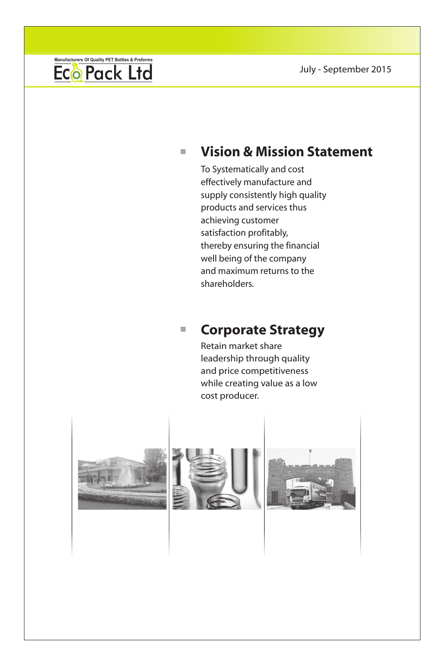

### **Vision & Mission Statement**  $\mathbf{u}$

To Systematically and cost effectively manufacture and supply consistently high quality products and services thus achieving customer satisfaction profitably, thereby ensuring the financial well being of the company and maximum returns to the shareholders.

#### **Corporate Strategy**   $\overline{\phantom{a}}$

Retain market share leadership through quality and price competitiveness while creating value as a low cost producer.





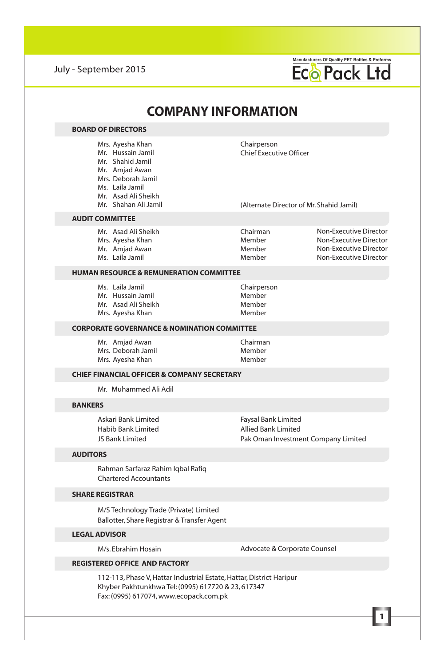

#### **COMPANY INFORMATION** Mrs. Ayesha Khan Mr. Hussain Jamil Mr. Shahid Jamil Mr. Amjad Awan Mrs. Deborah Jamil Ms. Laila Jamil Mr. Asad Ali Sheikh Mr. Shahan Ali Jamil **BOARD OF DIRECTORS AUDIT COMMITTEE** Mr. Asad Ali Sheikh Mrs. Ayesha Khan Mr. Amjad Awan Ms. Laila Jamil Chairman Member Member Member Non-Executive Director Non-Executive Director Non-Executive Director Non-Executive Director **CHIEF FINANCIAL OFFICER & COMPANY SECRETARY** Mr. Muhammed Ali Adil **BANKERS** Askari Bank Limited Habib Bank Limited JS Bank Limited **AUDITORS** Rahman Sarfaraz Rahim Iqbal Rafiq Chartered Accountants Chairperson Chief Executive Officer (Alternate Director of Mr. Shahid Jamil) Faysal Bank Limited Allied Bank Limited Pak Oman Investment Company Limited **HUMAN RESOURCE & REMUNERATION COMMITTEE** Ms. Laila Jamil Mr. Hussain Jamil Mr. Asad Ali Sheikh Mrs. Ayesha Khan Chairperson Member Member Member **SHARE REGISTRAR CORPORATE GOVERNANCE & NOMINATION COMMITTEE** Mr. Amjad Awan Mrs. Deborah Jamil Mrs. Ayesha Khan Chairman Member Member

M/S Technology Trade (Private) Limited Ballotter, Share Registrar & Transfer Agent

### **LEGAL ADVISOR**

M/s. Ebrahim Hosain

Advocate & Corporate Counsel

### **REGISTERED OFFICE AND FACTORY**

112-113, Phase V, Hattar Industrial Estate, Hattar, District Haripur Khyber Pakhtunkhwa Tel: (0995) 617720 & 23, 617347 Fax: (0995) 617074, www.ecopack.com.pk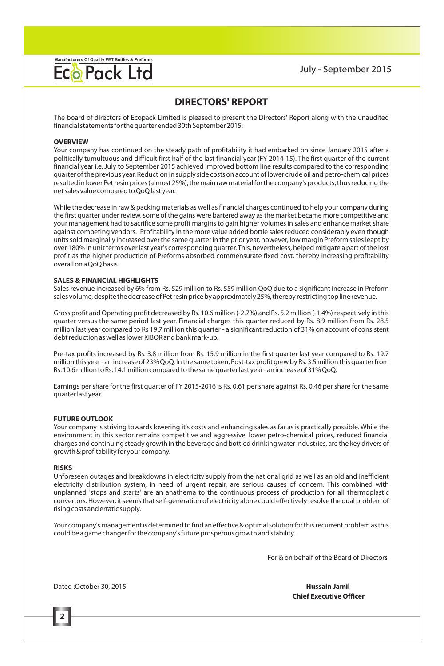

### **DIRECTORS' REPORT**

The board of directors of Ecopack Limited is pleased to present the Directors' Report along with the unaudited financial statements for the quarter ended 30th September 2015:

#### **OVERVIEW**

Your company has continued on the steady path of profitability it had embarked on since January 2015 after a politically tumultuous and difficult first half of the last financial year (FY 2014-15). The first quarter of the current financial year i.e. July to September 2015 achieved improved bottom line results compared to the corresponding quarter of the previous year. Reduction in supply side costs on account of lower crude oil and petro-chemical prices resulted in lower Pet resin prices (almost 25%), the main raw material for the company's products, thus reducing the net sales value compared to QoQ last year.

While the decrease in raw & packing materials as well as financial charges continued to help your company during the first quarter under review, some of the gains were bartered away as the market became more competitive and your management had to sacrifice some profit margins to gain higher volumes in sales and enhance market share against competing vendors. Profitability in the more value added bottle sales reduced considerably even though units sold marginally increased over the same quarter in the prior year, however, low margin Preform sales leapt by over 180% in unit terms over last year's corresponding quarter. This, nevertheless, helped mitigate a part of the lost profit as the higher production of Preforms absorbed commensurate fixed cost, thereby increasing profitability overall on a QoQ basis.

### **SALES & FINANCIAL HIGHLIGHTS**

Sales revenue increased by 6% from Rs. 529 million to Rs. 559 million QoQ due to a significant increase in Preform sales volume, despite the decrease of Pet resin price by approximately 25%, thereby restricting top line revenue.

Gross profit and Operating profit decreased by Rs. 10.6 million (-2.7%) and Rs. 5.2 million (-1.4%) respectively in this quarter versus the same period last year. Financial charges this quarter reduced by Rs. 8.9 million from Rs. 28.5 million last year compared to Rs 19.7 million this quarter - a significant reduction of 31% on account of consistent debt reduction as well as lower KIBOR and bank mark-up.

Pre-tax profits increased by Rs. 3.8 million from Rs. 15.9 million in the first quarter last year compared to Rs. 19.7 million this year - an increase of 23% QoQ. In the same token, Post-tax profit grew by Rs. 3.5 million this quarter from Rs. 10.6 million to Rs. 14.1 million compared to the same quarter last year - an increase of 31% QoQ.

Earnings per share for the first quarter of FY 2015-2016 is Rs. 0.61 per share against Rs. 0.46 per share for the same quarter last year.

#### **FUTURE OUTLOOK**

Your company is striving towards lowering it's costs and enhancing sales as far as is practically possible. While the environment in this sector remains competitive and aggressive, lower petro-chemical prices, reduced financial charges and continuing steady growth in the beverage and bottled drinking water industries, are the key drivers of growth & profitability for your company.

### **RISKS**

**2**

Unforeseen outages and breakdowns in electricity supply from the national grid as well as an old and inefficient electricity distribution system, in need of urgent repair, are serious causes of concern. This combined with unplanned 'stops and starts' are an anathema to the continuous process of production for all thermoplastic convertors. However, it seems that self-generation of electricity alone could effectively resolve the dual problem of rising costs and erratic supply.

Your company's management is determined to find an effective & optimal solution for this recurrent problem as this could be a game changer for the company's future prosperous growth and stability.

For & on behalf of the Board of Directors

Dated :October 30, 2015 **Hussain Jamil**

**Chief Executive Officer**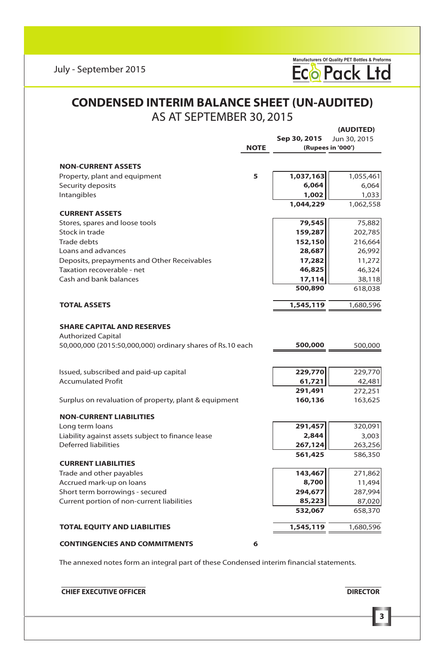

### **CONDENSED INTERIM BALANCE SHEET (UN-AUDITED)** AS AT SEPTEMBER 30, 2015

|                                                            |             |              | (AUDITED)         |
|------------------------------------------------------------|-------------|--------------|-------------------|
|                                                            |             | Sep 30, 2015 | Jun 30, 2015      |
|                                                            | <b>NOTE</b> |              | (Rupees in '000') |
|                                                            |             |              |                   |
| <b>NON-CURRENT ASSETS</b>                                  |             |              |                   |
| Property, plant and equipment                              | 5           | 1,037,163    | 1,055,461         |
| Security deposits                                          |             | 6,064        | 6,064             |
| Intangibles                                                |             | 1,002        | 1,033             |
|                                                            |             | 1.044.229    | 1,062,558         |
| <b>CURRENT ASSETS</b>                                      |             |              |                   |
| Stores, spares and loose tools                             |             | 79,545       | 75,882            |
| Stock in trade                                             |             | 159,287      | 202,785           |
| Trade debts                                                |             | 152,150      | 216,664           |
| Loans and advances                                         |             | 28,687       | 26,992            |
| Deposits, prepayments and Other Receivables                |             | 17,282       | 11,272            |
| Taxation recoverable - net                                 |             | 46,825       | 46,324            |
| Cash and bank balances                                     |             | 17,114       | 38,118            |
|                                                            |             | 500,890      | 618,038           |
| <b>TOTAL ASSETS</b>                                        |             | 1,545,119    | 1,680,596         |
|                                                            |             |              |                   |
| <b>SHARE CAPITAL AND RESERVES</b>                          |             |              |                   |
| <b>Authorized Capital</b>                                  |             |              |                   |
| 50,000,000 (2015:50,000,000) ordinary shares of Rs.10 each |             | 500,000      | 500,000           |
|                                                            |             |              |                   |
|                                                            |             |              |                   |
| Issued, subscribed and paid-up capital                     |             | 229,770      | 229,770           |
| <b>Accumulated Profit</b>                                  |             | 61,721       | 42,481            |
|                                                            |             | 291,491      | 272,251           |
| Surplus on revaluation of property, plant & equipment      |             | 160,136      | 163,625           |
| <b>NON-CURRENT LIABILITIES</b>                             |             |              |                   |
| Long term loans                                            |             | 291,457      | 320,091           |
| Liability against assets subject to finance lease          |             | 2,844        | 3,003             |
| <b>Deferred liabilities</b>                                |             | 267,124      | 263,256           |
|                                                            |             | 561,425      | 586,350           |
| <b>CURRENT LIABILITIES</b>                                 |             |              |                   |
| Trade and other payables                                   |             | 143,467      | 271,862           |
| Accrued mark-up on loans                                   |             | 8,700        | 11,494            |
| Short term borrowings - secured                            |             | 294,677      | 287,994           |
| Current portion of non-current liabilities                 |             | 85,223       | 87,020            |
|                                                            |             | 532,067      | 658,370           |
|                                                            |             |              |                   |
| <b>TOTAL EQUITY AND LIABILITIES</b>                        |             | 1,545,119    | 1,680,596         |
| <b>CONTINGENCIES AND COMMITMENTS</b>                       | 6           |              |                   |

The annexed notes form an integral part of these Condensed interim financial statements.

**EXECUTIVE OFFICER CHIEF EXECUTIVE OFFICER** 

**3**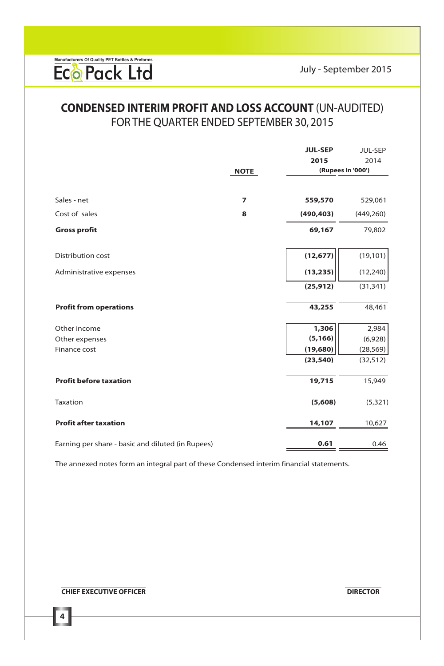### FOR THE QUARTER ENDED SEPTEMBER 30, 2015 **CONDENSED INTERIM PROFIT AND LOSS ACCOUNT** (UN-AUDITED)

|                                                   |                | <b>JUL-SEP</b><br>2015 | <b>JUL-SEP</b><br>2014 |
|---------------------------------------------------|----------------|------------------------|------------------------|
|                                                   | <b>NOTE</b>    |                        | (Rupees in '000')      |
|                                                   |                |                        |                        |
| Sales - net                                       | $\overline{7}$ | 559,570                | 529,061                |
| Cost of sales                                     | 8              | (490, 403)             | (449, 260)             |
| <b>Gross profit</b>                               |                | 69,167                 | 79,802                 |
| <b>Distribution cost</b>                          |                | (12, 677)              | (19, 101)              |
| Administrative expenses                           |                | (13, 235)              | (12, 240)              |
|                                                   |                | (25, 912)              | (31, 341)              |
| <b>Profit from operations</b>                     |                | 43,255                 | 48,461                 |
| Other income                                      |                | 1,306                  | 2,984                  |
| Other expenses                                    |                | (5, 166)               | (6,928)                |
| Finance cost                                      |                | (19, 680)              | (28, 569)              |
|                                                   |                | (23, 540)              | (32, 512)              |
| <b>Profit before taxation</b>                     |                | 19,715                 | 15,949                 |
| Taxation                                          |                | (5,608)                | (5, 321)               |
| <b>Profit after taxation</b>                      |                | 14,107                 | 10,627                 |
| Earning per share - basic and diluted (in Rupees) |                | 0.61                   | 0.46                   |

The annexed notes form an integral part of these Condensed interim financial statements.

### **EXECUTIVE OFFICER DIRECTOR**

**4**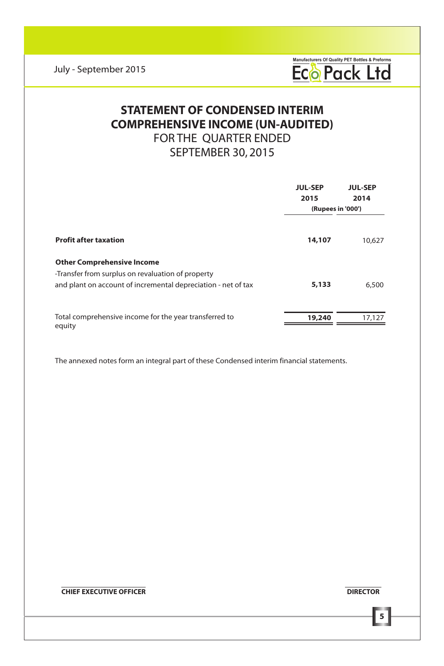Manufacturers Of Quality PET Bottles & Preforms<br> **ECO Pack Ltd** 

## **COMPREHENSIVE INCOME (UN-AUDITED)** FOR THE QUARTER ENDED SEPTEMBER 30, 2015 **STATEMENT OF CONDENSED INTERIM**

|                                                                                                                                                         | <b>JUL-SEP</b><br>2015<br>(Rupees in '000') | <b>JUL-SEP</b><br>2014 |
|---------------------------------------------------------------------------------------------------------------------------------------------------------|---------------------------------------------|------------------------|
| <b>Profit after taxation</b>                                                                                                                            | 14,107                                      | 10,627                 |
| <b>Other Comprehensive Income</b><br>-Transfer from surplus on revaluation of property<br>and plant on account of incremental depreciation - net of tax | 5,133                                       | 6,500                  |
| Total comprehensive income for the year transferred to<br>equity                                                                                        | 19,240                                      | 17.127                 |

The annexed notes form an integral part of these Condensed interim financial statements.

**EXECUTIVE OFFICER DIRECTOR**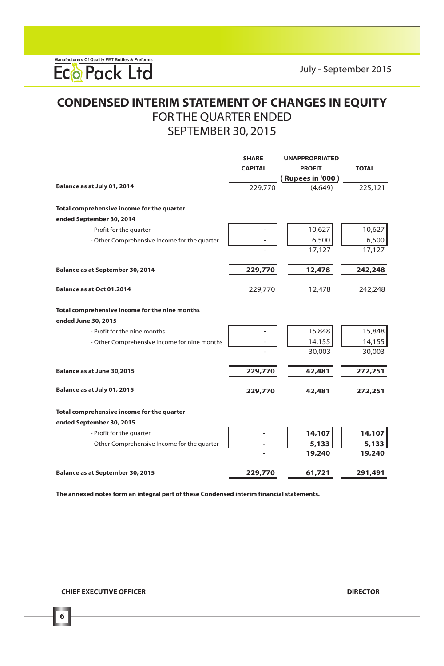Manufacturers Of Quality PET Bottles & Preforms<br> **ECO Pack Ltd** 

## FOR THE QUARTER ENDED SEPTEMBER 30, 2015 **CONDENSED INTERIM STATEMENT OF CHANGES IN EQUITY**

|                                                | <b>SHARE</b>   | <b>UNAPPROPRIATED</b> |              |
|------------------------------------------------|----------------|-----------------------|--------------|
|                                                | <b>CAPITAL</b> | <b>PROFIT</b>         | <b>TOTAL</b> |
|                                                |                | (Rupees in '000)      |              |
| Balance as at July 01, 2014                    | 229,770        | (4.649)               | 225,121      |
| Total comprehensive income for the quarter     |                |                       |              |
| ended September 30, 2014                       |                |                       |              |
| - Profit for the quarter                       |                | 10,627                | 10,627       |
| - Other Comprehensive Income for the quarter   |                | 6,500                 | 6,500        |
|                                                |                | 17,127                | 17,127       |
| Balance as at September 30, 2014               | 229,770        | 12,478                | 242,248      |
| Balance as at Oct 01,2014                      | 229,770        | 12,478                | 242,248      |
| Total comprehensive income for the nine months |                |                       |              |
| ended June 30, 2015                            |                |                       |              |
| - Profit for the nine months                   |                | 15,848                | 15,848       |
| - Other Comprehensive Income for nine months   |                | 14,155                | 14,155       |
|                                                |                | 30,003                | 30,003       |
| Balance as at June 30,2015                     | 229,770        | 42,481                | 272,251      |
| Balance as at July 01, 2015                    | 229,770        | 42,481                | 272,251      |
| Total comprehensive income for the quarter     |                |                       |              |
| ended September 30, 2015                       |                |                       |              |
| - Profit for the quarter                       |                | 14,107                | 14,107       |
| - Other Comprehensive Income for the quarter   |                | 5,133                 | 5,133        |
|                                                |                | 19,240                | 19,240       |
| Balance as at September 30, 2015               | 229,770        | 61,721                | 291,491      |

**The annexed notes form an integral part of these Condensed interim financial statements.**

**EXECUTIVE OFFICER DIRECTOR DIRECTOR** 

**6**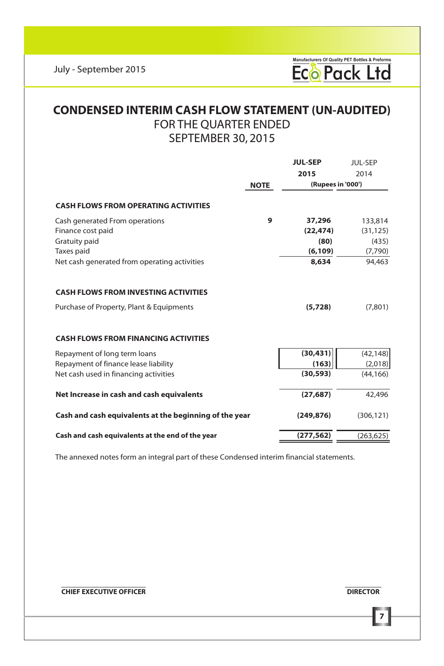

### FOR THE QUARTER ENDED SEPTEMBER 30, 2015 **CONDENSED INTERIM CASH FLOW STATEMENT (UN-AUDITED)**

|                                                                                                                                        |             | <b>JUL-SEP</b> | <b>JUL-SEP</b>    |
|----------------------------------------------------------------------------------------------------------------------------------------|-------------|----------------|-------------------|
|                                                                                                                                        |             | 2015           | 2014              |
|                                                                                                                                        | <b>NOTE</b> |                | (Rupees in '000') |
| <b>CASH FLOWS FROM OPERATING ACTIVITIES</b>                                                                                            |             |                |                   |
| Cash generated From operations                                                                                                         | 9           | 37,296         | 133,814           |
| Finance cost paid                                                                                                                      |             | (22, 474)      | (31, 125)         |
| Gratuity paid                                                                                                                          |             | (80)           | (435)             |
| Taxes paid                                                                                                                             |             | (6, 109)       | (7,790)           |
| Net cash generated from operating activities                                                                                           |             | 8,634          | 94,463            |
| <b>CASH FLOWS FROM INVESTING ACTIVITIES</b><br>Purchase of Property, Plant & Equipments<br><b>CASH FLOWS FROM FINANCING ACTIVITIES</b> |             | (5,728)        | (7,801)           |
| Repayment of long term loans                                                                                                           |             | (30, 431)      | (42, 148)         |
| Repayment of finance lease liability                                                                                                   |             | (163)          | (2,018)           |
| Net cash used in financing activities                                                                                                  |             | (30, 593)      | (44, 166)         |
| Net Increase in cash and cash equivalents                                                                                              |             | (27, 687)      | 42,496            |
| Cash and cash equivalents at the beginning of the year                                                                                 |             | (249, 876)     | (306.121)         |
| Cash and cash equivalents at the end of the year                                                                                       |             | (277, 562)     | (263, 625)        |

The annexed notes form an integral part of these Condensed interim financial statements.

**EXECUTIVE OFFICER DIRECTOR**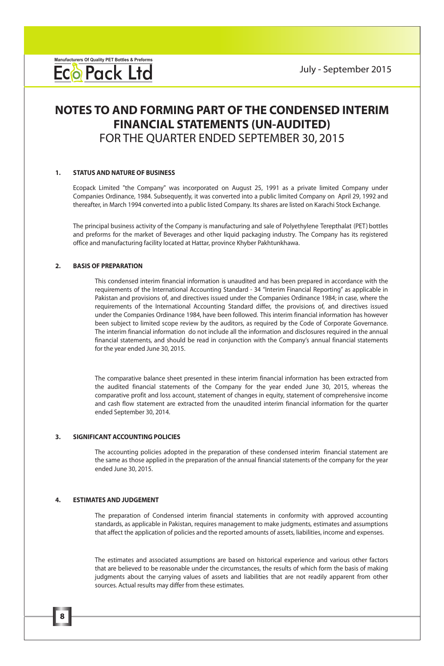### **FINANCIAL STATEMENTS (UN-AUDITED)** FOR THE QUARTER ENDED SEPTEMBER 30, 2015 **NOTES TO AND FORMING PART OF THE CONDENSED INTERIM**

#### **1. STATUS AND NATURE OF BUSINESS**

Ecopack Limited "the Company" was incorporated on August 25, 1991 as a private limited Company under Companies Ordinance, 1984. Subsequently, it was converted into a public limited Company on April 29, 1992 and thereafter, in March 1994 converted into a public listed Company. Its shares are listed on Karachi Stock Exchange.

The principal business activity of the Company is manufacturing and sale of Polyethylene Terepthalat (PET) bottles and preforms for the market of Beverages and other liquid packaging industry. The Company has its registered office and manufacturing facility located at Hattar, province Khyber Pakhtunkhawa.

### **2. BASIS OF PREPARATION**

This condensed interim financial information is unaudited and has been prepared in accordance with the requirements of the International Accounting Standard - 34 "Interim Financial Reporting" as applicable in Pakistan and provisions of, and directives issued under the Companies Ordinance 1984; in case, where the requirements of the International Accounting Standard differ, the provisions of, and directives issued under the Companies Ordinance 1984, have been followed. This interim financial information has however been subject to limited scope review by the auditors, as required by the Code of Corporate Governance. The interim financial information do not include all the information and disclosures required in the annual financial statements, and should be read in conjunction with the Company's annual financial statements for the year ended June 30, 2015.

The comparative balance sheet presented in these interim financial information has been extracted from the audited financial statements of the Company for the year ended June 30, 2015, whereas the comparative profit and loss account, statement of changes in equity, statement of comprehensive income and cash flow statement are extracted from the unaudited interim financial information for the quarter ended September 30, 2014.

#### **3. SIGNIFICANT ACCOUNTING POLICIES**

The accounting policies adopted in the preparation of these condensed interim financial statement are the same as those applied in the preparation of the annual financial statements of the company for the year ended June 30, 2015.

#### **4. ESTIMATES AND JUDGEMENT**

**8**

The preparation of Condensed interim financial statements in conformity with approved accounting standards, as applicable in Pakistan, requires management to make judgments, estimates and assumptions that affect the application of policies and the reported amounts of assets, liabilities, income and expenses.

The estimates and associated assumptions are based on historical experience and various other factors that are believed to be reasonable under the circumstances, the results of which form the basis of making judgments about the carrying values of assets and liabilities that are not readily apparent from other sources. Actual results may differ from these estimates.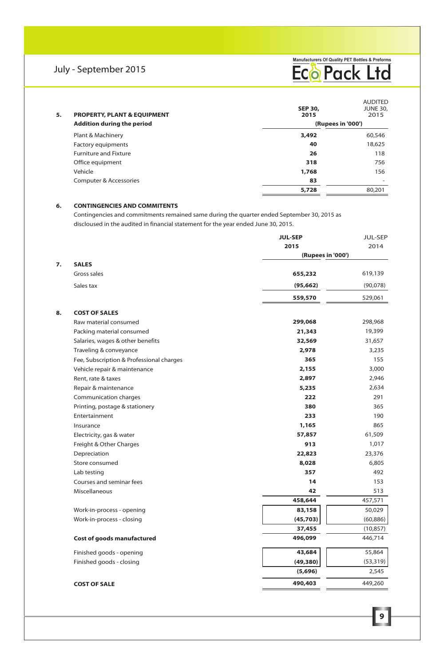

| 5. | <b>PROPERTY, PLANT &amp; EQUIPMENT</b><br><b>Addition during the period</b> | <b>SEP 30.</b><br>2015<br>(Rupees in '000') | <b>AUDITED</b><br><b>JUNE 30,</b><br>2015 |  |
|----|-----------------------------------------------------------------------------|---------------------------------------------|-------------------------------------------|--|
|    | Plant & Machinery                                                           | 3,492                                       | 60,546                                    |  |
|    | <b>Factory equipments</b>                                                   | 40                                          | 18,625                                    |  |
|    | <b>Furniture and Fixture</b>                                                | 26                                          | 118                                       |  |
|    | Office equipment                                                            | 318                                         | 756                                       |  |
|    | Vehicle                                                                     | 1,768                                       | 156                                       |  |
|    | Computer & Accessories                                                      | 83                                          | ۰                                         |  |
|    |                                                                             | 5,728                                       | 80.201                                    |  |

### **6. CONTINGENCIES AND COMMITENTS**

Contingencies and commitments remained same during the quarter ended September 30, 2015 as discloused in the audited in financial statement for the year ended June 30, 2015.

|    |                                          | <b>JUL-SEP</b>    | JUL-SEP   |
|----|------------------------------------------|-------------------|-----------|
|    |                                          | 2015              | 2014      |
|    |                                          | (Rupees in '000') |           |
| 7. | <b>SALES</b>                             |                   |           |
|    | Gross sales                              | 655,232           | 619,139   |
|    | Sales tax                                | (95, 662)         | (90,078)  |
|    |                                          | 559,570           | 529,061   |
| 8. | <b>COST OF SALES</b>                     |                   |           |
|    | Raw material consumed                    | 299,068           | 298,968   |
|    | Packing material consumed                | 21,343            | 19,399    |
|    | Salaries, wages & other benefits         | 32,569            | 31,657    |
|    | Traveling & conveyance                   | 2,978             | 3,235     |
|    | Fee, Subscription & Professional charges | 365               | 155       |
|    | Vehicle repair & maintenance             | 2,155             | 3,000     |
|    | Rent, rate & taxes                       | 2,897             | 2,946     |
|    | Repair & maintenance                     | 5,235             | 2,634     |
|    | Communication charges                    | 222               | 291       |
|    | Printing, postage & stationery           | 380               | 365       |
|    | Entertainment                            | 233               | 190       |
|    | Insurance                                | 1,165             | 865       |
|    | Electricity, gas & water                 | 57,857            | 61,509    |
|    | Freight & Other Charges                  | 913               | 1,017     |
|    | Depreciation                             | 22,823            | 23,376    |
|    | Store consumed                           | 8,028             | 6,805     |
|    | Lab testing                              | 357               | 492       |
|    | Courses and seminar fees                 | 14                | 153       |
|    | Miscellaneous                            | 42                | 513       |
|    |                                          | 458,644           | 457,571   |
|    | Work-in-process - opening                | 83,158            | 50,029    |
|    | Work-in-process - closing                | (45,703)          | (60, 886) |
|    |                                          | 37,455            | (10, 857) |
|    | Cost of goods manufactured               | 496,099           | 446,714   |
|    | Finished goods - opening                 | 43,684            | 55,864    |
|    | Finished goods - closing                 | (49, 380)         | (53, 319) |
|    |                                          | (5,696)           | 2,545     |
|    | <b>COST OF SALE</b>                      | 490,403           | 449,260   |
|    |                                          |                   |           |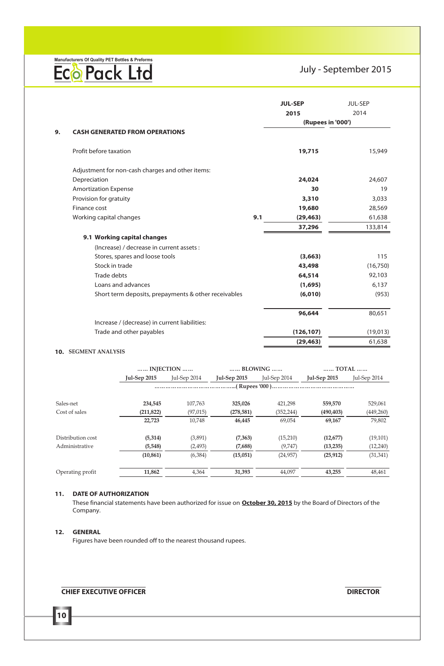Manufacturers Of Quality PET Bottles & Preforms<br> **ECO Pack Ltd** 

### July - September 2015

|    |                                                      |     | <b>JUL-SEP</b><br>2015 | JUL-SEP<br>2014 |
|----|------------------------------------------------------|-----|------------------------|-----------------|
|    |                                                      |     | (Rupees in '000')      |                 |
| 9. | <b>CASH GENERATED FROM OPERATIONS</b>                |     |                        |                 |
|    |                                                      |     |                        |                 |
|    | Profit before taxation                               |     | 19,715                 | 15,949          |
|    | Adjustment for non-cash charges and other items:     |     |                        |                 |
|    | Depreciation                                         |     | 24,024                 | 24.607          |
|    | <b>Amortization Expense</b>                          |     | 30                     | 19              |
|    | Provision for gratuity                               |     | 3,310                  | 3,033           |
|    | Finance cost                                         |     | 19,680                 | 28,569          |
|    | Working capital changes                              | 9.1 | (29, 463)              | 61,638          |
|    |                                                      |     | 37,296                 | 133,814         |
|    | 9.1 Working capital changes                          |     |                        |                 |
|    | (Increase) / decrease in current assets :            |     |                        |                 |
|    | Stores, spares and loose tools                       |     | (3,663)                | 115             |
|    | Stock in trade                                       |     | 43,498                 | (16,750)        |
|    | <b>Trade debts</b>                                   |     | 64,514                 | 92,103          |
|    | Loans and advances                                   |     | (1,695)                | 6,137           |
|    | Short term deposits, prepayments & other receivables |     | (6,010)                | (953)           |
|    |                                                      |     | 96,644                 | 80.651          |
|    | Increase / (decrease) in current liabilities:        |     |                        |                 |
|    | Trade and other payables                             |     | (126, 107)             | (19,013)        |
|    |                                                      |     | (29, 463)              | 61,638          |

#### **10. SEGMENT ANALYSIS**

|                   |                     | INJECTION    | BLOWING             |              | TOTAL               |              |
|-------------------|---------------------|--------------|---------------------|--------------|---------------------|--------------|
|                   | <b>Jul-Sep 2015</b> | Jul-Sep 2014 | <b>Jul-Sep 2015</b> | Jul-Sep 2014 | <b>Jul-Sep 2015</b> | Jul-Sep 2014 |
|                   |                     |              |                     |              |                     |              |
| Sales-net         | 234.545             | 107.763      | 325.026             | 421.298      | 559,570             | 529.061      |
| Cost of sales     | (211, 822)          | (97, 015)    | (278, 581)          | (352, 244)   | (490, 403)          | (449,260)    |
|                   | 22.723              | 10.748       | 46.445              | 69.054       | 69.167              | 79.802       |
| Distribution cost | (5,314)             | (3,891)      | (7, 363)            | (15,210)     | (12, 677)           | (19, 101)    |
| Administrative    | (5, 548)            | (2, 493)     | (7,688)             | (9,747)      | (13, 235)           | (12, 240)    |
|                   | (10, 861)           | (6, 384)     | (15,051)            | (24, 957)    | (25, 912)           | (31, 341)    |
| Operating profit  | 11,862              | 4.364        | 31.393              | 44.097       | 43,255              | 48.461       |

### **11. DATE OF AUTHORIZATION**

These financial statements have been authorized for issue on **October 30, 2015** by the Board of Directors of the Company.

### **12. GENERAL**

**10**

Figures have been rounded off to the nearest thousand rupees.

### **CHIEF EXECUTIVE OFFICER DIRECTOR**